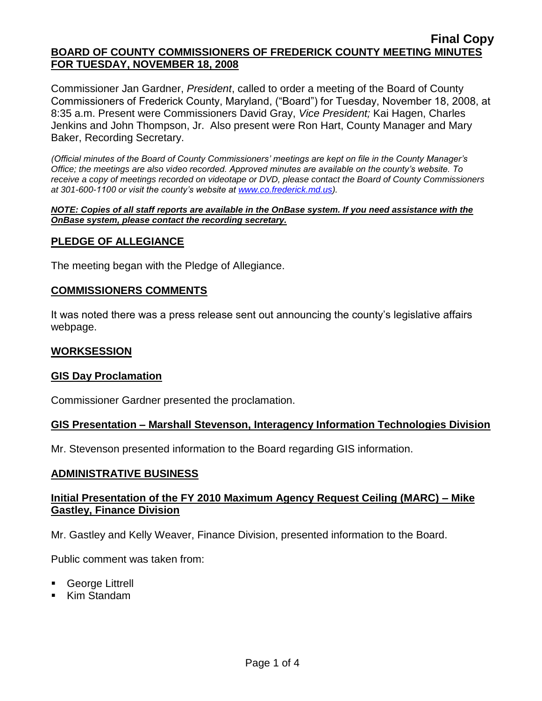Commissioner Jan Gardner, *President*, called to order a meeting of the Board of County Commissioners of Frederick County, Maryland, ("Board") for Tuesday, November 18, 2008, at 8:35 a.m. Present were Commissioners David Gray, *Vice President;* Kai Hagen, Charles Jenkins and John Thompson, Jr. Also present were Ron Hart, County Manager and Mary Baker, Recording Secretary.

*(Official minutes of the Board of County Commissioners' meetings are kept on file in the County Manager's Office; the meetings are also video recorded. Approved minutes are available on the county's website. To receive a copy of meetings recorded on videotape or DVD, please contact the Board of County Commissioners at 301-600-1100 or visit the county's website at [www.co.frederick.md.us\)](http://www.co.frederick.md.us/).*

*NOTE: Copies of all staff reports are available in the OnBase system. If you need assistance with the OnBase system, please contact the recording secretary.*

### **PLEDGE OF ALLEGIANCE**

The meeting began with the Pledge of Allegiance.

### **COMMISSIONERS COMMENTS**

It was noted there was a press release sent out announcing the county's legislative affairs webpage.

### **WORKSESSION**

### **GIS Day Proclamation**

Commissioner Gardner presented the proclamation.

### **GIS Presentation – Marshall Stevenson, Interagency Information Technologies Division**

Mr. Stevenson presented information to the Board regarding GIS information.

### **ADMINISTRATIVE BUSINESS**

# **Initial Presentation of the FY 2010 Maximum Agency Request Ceiling (MARC) – Mike Gastley, Finance Division**

Mr. Gastley and Kelly Weaver, Finance Division, presented information to the Board.

Public comment was taken from:

- George Littrell
- Kim Standam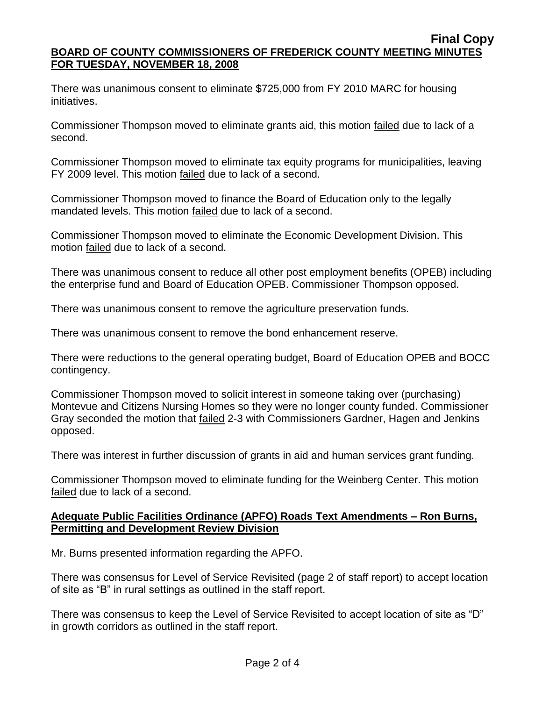There was unanimous consent to eliminate \$725,000 from FY 2010 MARC for housing initiatives.

Commissioner Thompson moved to eliminate grants aid, this motion failed due to lack of a second.

Commissioner Thompson moved to eliminate tax equity programs for municipalities, leaving FY 2009 level. This motion failed due to lack of a second.

Commissioner Thompson moved to finance the Board of Education only to the legally mandated levels. This motion failed due to lack of a second.

Commissioner Thompson moved to eliminate the Economic Development Division. This motion failed due to lack of a second.

There was unanimous consent to reduce all other post employment benefits (OPEB) including the enterprise fund and Board of Education OPEB. Commissioner Thompson opposed.

There was unanimous consent to remove the agriculture preservation funds.

There was unanimous consent to remove the bond enhancement reserve.

There were reductions to the general operating budget, Board of Education OPEB and BOCC contingency.

Commissioner Thompson moved to solicit interest in someone taking over (purchasing) Montevue and Citizens Nursing Homes so they were no longer county funded. Commissioner Gray seconded the motion that failed 2-3 with Commissioners Gardner, Hagen and Jenkins opposed.

There was interest in further discussion of grants in aid and human services grant funding.

Commissioner Thompson moved to eliminate funding for the Weinberg Center. This motion failed due to lack of a second.

# **Adequate Public Facilities Ordinance (APFO) Roads Text Amendments – Ron Burns, Permitting and Development Review Division**

Mr. Burns presented information regarding the APFO.

There was consensus for Level of Service Revisited (page 2 of staff report) to accept location of site as "B" in rural settings as outlined in the staff report.

There was consensus to keep the Level of Service Revisited to accept location of site as "D" in growth corridors as outlined in the staff report.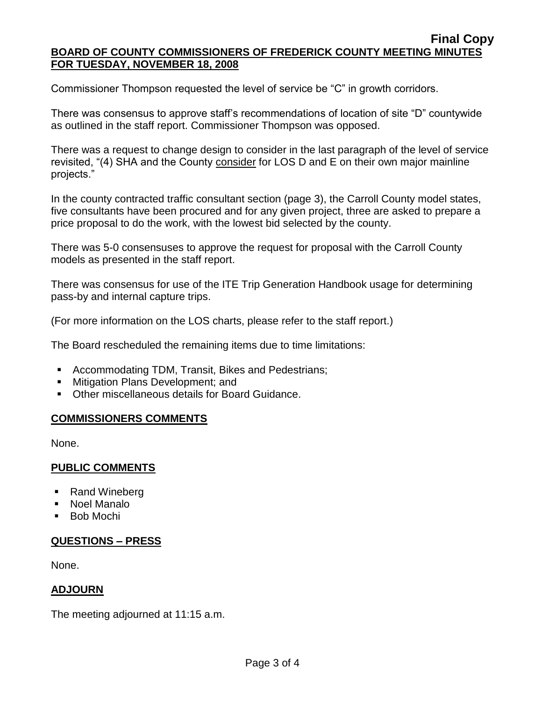Commissioner Thompson requested the level of service be "C" in growth corridors.

There was consensus to approve staff's recommendations of location of site "D" countywide as outlined in the staff report. Commissioner Thompson was opposed.

There was a request to change design to consider in the last paragraph of the level of service revisited, "(4) SHA and the County consider for LOS D and E on their own major mainline projects."

In the county contracted traffic consultant section (page 3), the Carroll County model states, five consultants have been procured and for any given project, three are asked to prepare a price proposal to do the work, with the lowest bid selected by the county.

There was 5-0 consensuses to approve the request for proposal with the Carroll County models as presented in the staff report.

There was consensus for use of the ITE Trip Generation Handbook usage for determining pass-by and internal capture trips.

(For more information on the LOS charts, please refer to the staff report.)

The Board rescheduled the remaining items due to time limitations:

- Accommodating TDM, Transit, Bikes and Pedestrians;
- **Mitigation Plans Development: and**
- Other miscellaneous details for Board Guidance.

# **COMMISSIONERS COMMENTS**

None.

# **PUBLIC COMMENTS**

- Rand Wineberg
- Noel Manalo
- Bob Mochi

# **QUESTIONS – PRESS**

None.

# **ADJOURN**

The meeting adjourned at 11:15 a.m.